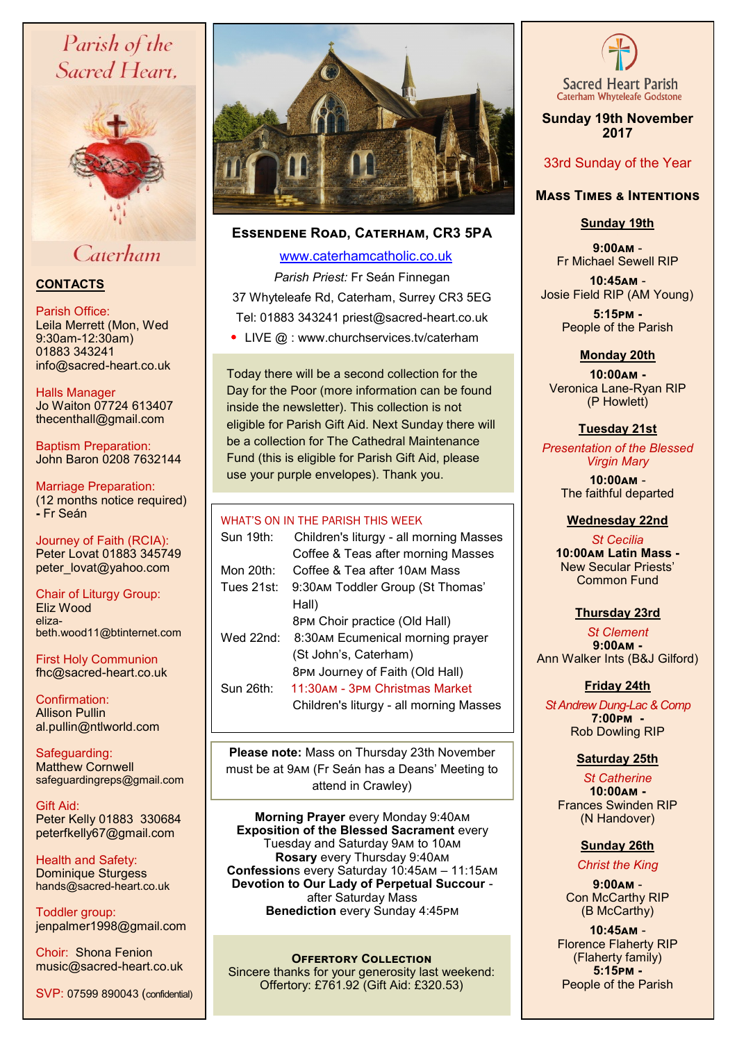# Parish of the Sacred Heart.



# Caterham

# **CONTACTS**

## Parish Office:

Leila Merrett (Mon, Wed 9:30am-12:30am) 01883 343241 info@sacred-heart.co.uk

Halls Manager Jo Waiton 07724 613407 thecenthall@gmail.com

Baptism Preparation: John Baron 0208 7632144

Marriage Preparation: (12 months notice required) **-** Fr Seán

Journey of Faith (RCIA): Peter Lovat 01883 345749 peter\_lovat@yahoo.com

Chair of Liturgy Group: Eliz Wood elizabeth.wood11@btinternet.com

First Holy Communion fhc@sacred-heart.co.uk

Confirmation: Allison Pullin al.pullin@ntlworld.com

Safeguarding: Matthew Cornwell safeguardingreps@gmail.com

Gift Aid: Peter Kelly 01883 330684 peterfkelly67@gmail.com

Health and Safety: Dominique Sturgess hands@sacred-heart.co.uk

Toddler group: jenpalmer1998@gmail.com

Choir: Shona Fenion music@sacred-heart.co.uk

SVP: 07599 890043 (confidential)



# **Essendene Road, Caterham, CR3 5PA**

 [www.caterhamcatholic.co.uk](http://Www.caterhamcatholic.co.uk) *Parish Priest:* Fr Seán Finnegan 37 Whyteleafe Rd, Caterham, Surrey CR3 5EG Tel: 01883 343241 priest@sacred-heart.co.uk

• LIVE @ : www.churchservices.tv/caterham

Today there will be a second collection for the Day for the Poor (more information can be found inside the newsletter). This collection is not eligible for Parish Gift Aid. Next Sunday there will be a collection for The Cathedral Maintenance Fund (this is eligible for Parish Gift Aid, please use your purple envelopes). Thank you.

## WHAT'S ON IN THE PARISH THIS WEEK

| Children's liturgy - all morning Masses<br>Coffee & Teas after morning Masses |
|-------------------------------------------------------------------------------|
| Coffee & Tea after 10AM Mass                                                  |
| 9:30AM Toddler Group (St Thomas'<br>Hall)                                     |
| 8PM Choir practice (Old Hall)                                                 |
| 8:30AM Ecumenical morning prayer<br>(St John's, Caterham)                     |
| 8PM Journey of Faith (Old Hall)                                               |
| 11:30AM - ЗРМ Christmas Market<br>Children's liturgy - all morning Masses     |
|                                                                               |

**Please note:** Mass on Thursday 23th November must be at 9am (Fr Seán has a Deans' Meeting to attend in Crawley)

**Morning Prayer** every Monday 9:40am **Exposition of the Blessed Sacrament** every Tuesday and Saturday 9am to 10am **Rosary** every Thursday 9:40am **Confession**s every Saturday 10:45am – 11:15am **Devotion to Our Lady of Perpetual Succour**  after Saturday Mass **Benediction** every Sunday 4:45pm

**OFFERTORY COLLECTION** Sincere thanks for your generosity last weekend: Offertory: £761.92 (Gift Aid: £320.53)



**Sunday 19th November 2017**

# 33rd Sunday of the Year

## **Mass Times & Intentions**

# **Sunday 19th**

**9:00am** - Fr Michael Sewell RIP

**10:45am** - Josie Field RIP (AM Young).

> **5:15pm -** People of the Parish

## **Monday 20th**

**10:00am -** Veronica Lane-Ryan RIP (P Howlett)

## **Tuesday 21st**

 *Presentation of the Blessed Virgin Mary*

*.* **10:00am** - The faithful departed

#### **Wednesday 22nd**

*St Cecilia* **10:00am Latin Mass -** New Secular Priests' Common Fund

## **Thursday 23rd**

. *St Clement*  **9:00am -** Ann Walker Ints (B&J Gilford)

## **Friday 24th**

*St Andrew Dung-Lac & Comp* **7:00pm -**  Rob Dowling RIP

## **Saturday 25th**

*St Catherine* **10:00am -**  Frances Swinden RIP (N Handover)

## **Sunday 26th**

*Christ the King*

**9:00am** - Con McCarthy RIP (B McCarthy)

**10:45am** - Florence Flaherty RIP (Flaherty family) **5:15pm -** People of the Parish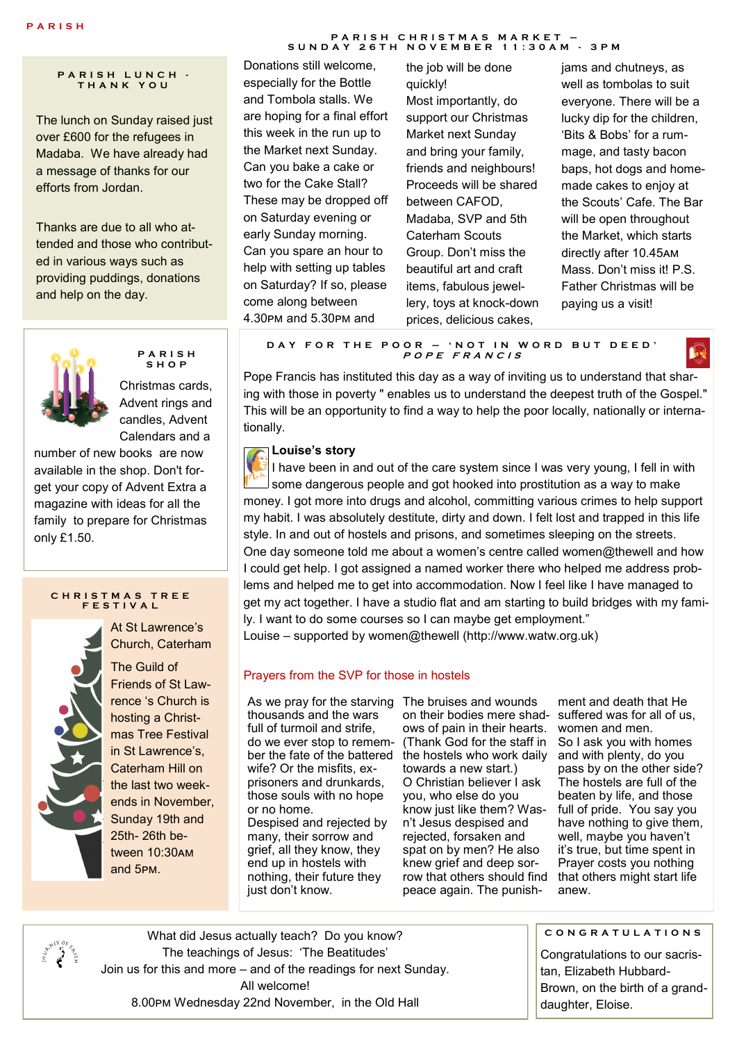**P A R I S H L U N C H - T H A N K Y O U**

The lunch on Sunday raised just over £600 for the refugees in Madaba. We have already had a message of thanks for our efforts from Jordan.

Thanks are due to all who attended and those who contributed in various ways such as providing puddings, donations and help on the day.



**P A R I S H S H O P**

Christmas cards, Advent rings and candles, Advent Calendars and a

number of new books are now available in the shop. Don't forget your copy of Advent Extra a magazine with ideas for all the family to prepare for Christmas only £1.50.

#### **C H R I S T M A S T R E E F E S T I V A L**



At St Lawrence's Church, Caterham

The Guild of Friends of St Lawrence 's Church is hosting a Christmas Tree Festival in St Lawrence's, Caterham Hill on the last two weekends in November, Sunday 19th and 25th- 26th between 10:30am and 5pm.

#### **P A R I S H C H R I S T M A S M A R K E T – S U N D A Y 2 6 T H N O V E M B E R 1 1 : 3 0 A M - 3 P M**

Donations still welcome, especially for the Bottle and Tombola stalls. We are hoping for a final effort this week in the run up to the Market next Sunday. Can you bake a cake or two for the Cake Stall? These may be dropped off on Saturday evening or early Sunday morning. Can you spare an hour to help with setting up tables on Saturday? If so, please come along between 4.30pm and 5.30pm and

the job will be done quickly! Most importantly, do support our Christmas Market next Sunday and bring your family, friends and neighbours! Proceeds will be shared between CAFOD, Madaba, SVP and 5th Caterham Scouts Group. Don't miss the beautiful art and craft items, fabulous jewellery, toys at knock-down prices, delicious cakes,

jams and chutneys, as well as tombolas to suit everyone. There will be a lucky dip for the children, 'Bits & Bobs' for a rummage, and tasty bacon baps, hot dogs and homemade cakes to enjoy at the Scouts' Cafe. The Bar will be open throughout the Market, which starts directly after 10.45am Mass. Don't miss it! P.S. Father Christmas will be paying us a visit!

**D A Y F O R T H E P O O R – ' N O T I N W O R D B U T D E E D ' <sup>P</sup> <sup>O</sup> <sup>P</sup> E <sup>F</sup> <sup>R</sup> <sup>A</sup> <sup>N</sup> <sup>C</sup> <sup>I</sup> <sup>S</sup>**

Pope Francis has instituted this day as a way of inviting us to understand that sharing with those in poverty " enables us to understand the deepest truth of the Gospel." This will be an opportunity to find a way to help the poor locally, nationally or internationally.

## **Louise's story**

I have been in and out of the care system since I was very young, I fell in with some dangerous people and got hooked into prostitution as a way to make money. I got more into drugs and alcohol, committing various crimes to help support my habit. I was absolutely destitute, dirty and down. I felt lost and trapped in this life style. In and out of hostels and prisons, and sometimes sleeping on the streets. One day someone told me about a women's centre called women@thewell and how I could get help. I got assigned a named worker there who helped me address problems and helped me to get into accommodation. Now I feel like I have managed to get my act together. I have a studio flat and am starting to build bridges with my family. I want to do some courses so I can maybe get employment." Louise – supported by women@thewell (http://www.watw.org.uk)

## Prayers from the SVP for those in hostels

As we pray for the starving The bruises and wounds thousands and the wars full of turmoil and strife, do we ever stop to remember the fate of the battered the hostels who work daily wife? Or the misfits, exprisoners and drunkards, those souls with no hope or no home. Despised and rejected by many, their sorrow and grief, all they know, they end up in hostels with nothing, their future they just don't know.

on their bodies mere shad-suffered was for all of us, ows of pain in their hearts. (Thank God for the staff in towards a new start.) O Christian believer I ask you, who else do you know just like them? Wasn't Jesus despised and rejected, forsaken and spat on by men? He also knew grief and deep sorrow that others should find peace again. The punish-

ment and death that He women and men. So I ask you with homes and with plenty, do you pass by on the other side? The hostels are full of the beaten by life, and those full of pride. You say you have nothing to give them. well, maybe you haven't it's true, but time spent in Prayer costs you nothing that others might start life anew.

ີ

What did Jesus actually teach? Do you know? The teachings of Jesus: 'The Beatitudes' Join us for this and more – and of the readings for next Sunday. All welcome! 8.00pm Wednesday 22nd November, in the Old Hall

**C O N G R A T U L A T I O N S**

Congratulations to our sacristan, Elizabeth Hubbard-Brown, on the birth of a granddaughter, Eloise.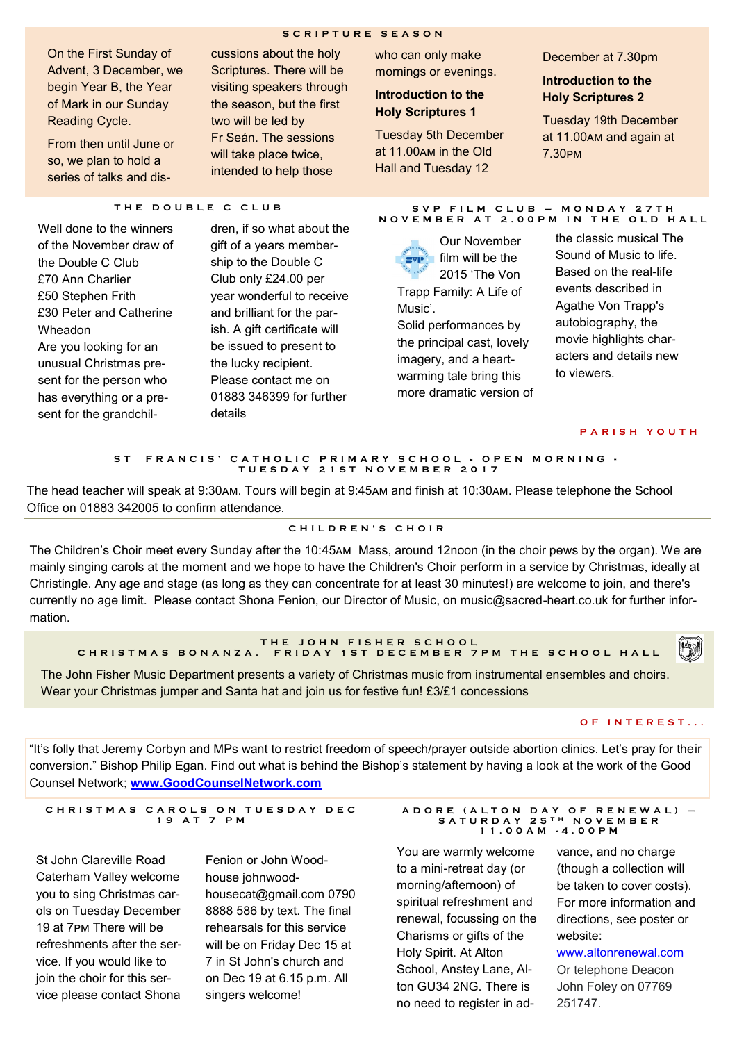#### **S C R I P T U R E S E A S O N**

On the First Sunday of Advent, 3 December, we begin Year B, the Year of Mark in our Sunday Reading Cycle.

From then until June or so, we plan to hold a series of talks and discussions about the holy Scriptures. There will be visiting speakers through the season, but the first two will be led by Fr Seán. The sessions will take place twice, intended to help those

who can only make mornings or evenings.

## **Introduction to the Holy Scriptures 1**

Tuesday 5th December at 11.00am in the Old Hall and Tuesday 12

December at 7.30pm

## **Introduction to the Holy Scriptures 2**

Tuesday 19th December at 11.00am and again at 7.30pm

#### **T H E D O U B L E C C L U B**

Well done to the winners of the November draw of the Double C Club £70 Ann Charlier £50 Stephen Frith £30 Peter and Catherine Wheadon Are you looking for an unusual Christmas present for the person who has everything or a present for the grandchil-

dren, if so what about the gift of a years membership to the Double C Club only £24.00 per year wonderful to receive and brilliant for the parish. A gift certificate will be issued to present to the lucky recipient. Please contact me on 01883 346399 for further details

#### **S V P F I L M C L U B – M O N D A Y 2 7 T H N O V E M B E R A T 2 . 0 0 P M I N T H E O L D H A L L**

Our November  $\mathbf{F}$  film will be the 2015 'The Von Trapp Family: A Life of Music'. Solid performances by the principal cast, lovely imagery, and a heartwarming tale bring this more dramatic version of the classic musical The Sound of Music to life. Based on the real-life events described in Agathe Von Trapp's autobiography, the movie highlights characters and details new to viewers.

#### **P A R I S H Y O U T H**

#### ST FRANCIS' CATHOLIC PRIMARY SCHOOL - OPEN MORNING -**T U E S D A Y 2 1 S T N O V E M B E R 2 0 1 7**

The head teacher will speak at 9:30am. Tours will begin at 9:45am and finish at 10:30am. Please telephone the School Office on 01883 342005 to confirm attendance.

#### **C H I L D R E N ' S C H O I R**

The Children's Choir meet every Sunday after the 10:45am Mass, around 12noon (in the choir pews by the organ). We are mainly singing carols at the moment and we hope to have the Children's Choir perform in a service by Christmas, ideally at Christingle. Any age and stage (as long as they can concentrate for at least 30 minutes!) are welcome to join, and there's currently no age limit. Please contact Shona Fenion, our Director of Music, on music@sacred-heart.co.uk for further information.

#### **T H E J O H N F I S H E R S C H O OL**  CHRISTMAS BONANZA. FRIDAY 1ST DECEMBER 7PM THE SCHOOL HALL

The John Fisher Music Department presents a variety of Christmas music from instrumental ensembles and choirs. Wear your Christmas jumper and Santa hat and join us for festive fun! £3/£1 concessions

#### **O F I N T E R E S T . . .**

"It's folly that Jeremy Corbyn and MPs want to restrict freedom of speech/prayer outside abortion clinics. Let's pray for their conversion." Bishop Philip Egan. Find out what is behind the Bishop's statement by having a look at the work of the Good Counsel Network; **[www.GoodCounselNetwork.com](http://www.goodcounselnetwork.com/)**

#### **C H R I S T M A S C A R O L S O N T U E S D A Y D E C 1 9 A T 7 P M**

St John Clareville Road Caterham Valley welcome you to sing Christmas carols on Tuesday December 19 at 7pm There will be refreshments after the service. If you would like to join the choir for this service please contact Shona

Fenion or John Woodhouse johnwoodhousecat@gmail.com 0790 8888 586 by text. The final rehearsals for this service will be on Friday Dec 15 at 7 in St John's church and on Dec 19 at 6.15 p.m. All singers welcome!

#### **A D O R E ( A L T O N D A Y O F R E N E W A L ) – S A T U R D A Y 2 5 T H N O V E M B E R 1 1 . 0 0 A M - 4 . 0 0 P M**

You are warmly welcome to a mini-retreat day (or morning/afternoon) of spiritual refreshment and renewal, focussing on the Charisms or gifts of the Holy Spirit. At Alton School, Anstey Lane, Alton GU34 2NG. There is no need to register in ad-

vance, and no charge (though a collection will be taken to cover costs). For more information and directions, see poster or website:

[www.altonrenewal.com](http://www.altonrenewal.com) Or telephone Deacon John Foley on 07769 251747.